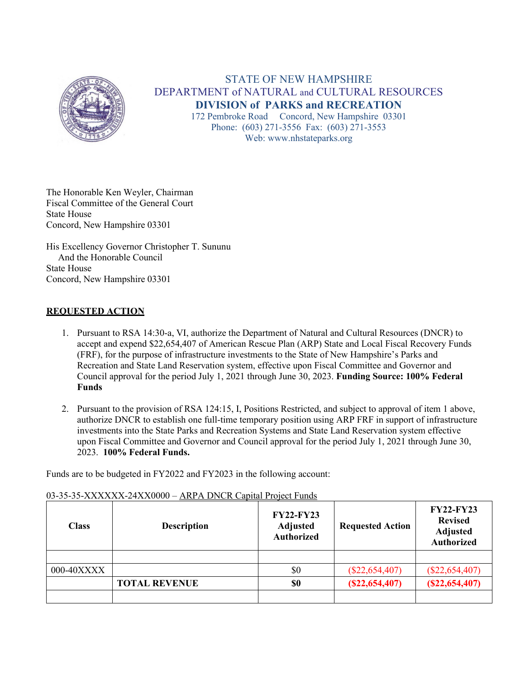

# STATE OF NEW HAMPSHIRE DEPARTMENT of NATURAL and CULTURAL RESOURCES **DIVISION of PARKS and RECREATION**

172 Pembroke Road Concord, New Hampshire 03301 Phone: (603) 271-3556 Fax: (603) 271-3553 Web: www.nhstateparks.org

The Honorable Ken Weyler, Chairman Fiscal Committee of the General Court State House Concord, New Hampshire 03301

His Excellency Governor Christopher T. Sununu And the Honorable Council State House Concord, New Hampshire 03301

## **REQUESTED ACTION**

- 1. Pursuant to RSA 14:30-a, VI, authorize the Department of Natural and Cultural Resources (DNCR) to accept and expend \$22,654,407 of American Rescue Plan (ARP) State and Local Fiscal Recovery Funds (FRF), for the purpose of infrastructure investments to the State of New Hampshire's Parks and Recreation and State Land Reservation system, effective upon Fiscal Committee and Governor and Council approval for the period July 1, 2021 through June 30, 2023. **Funding Source: 100% Federal Funds**
- 2. Pursuant to the provision of RSA 124:15, I, Positions Restricted, and subject to approval of item 1 above, authorize DNCR to establish one full-time temporary position using ARP FRF in support of infrastructure investments into the State Parks and Recreation Systems and State Land Reservation system effective upon Fiscal Committee and Governor and Council approval for the period July 1, 2021 through June 30, 2023. **100% Federal Funds.**

Funds are to be budgeted in FY2022 and FY2023 in the following account:

| <b>Class</b> | <b>Description</b>   | <b>FY22-FY23</b><br><b>Adjusted</b><br><b>Authorized</b> | <b>Requested Action</b> | <b>FY22-FY23</b><br><b>Revised</b><br><b>Adjusted</b><br><b>Authorized</b> |
|--------------|----------------------|----------------------------------------------------------|-------------------------|----------------------------------------------------------------------------|
|              |                      |                                                          |                         |                                                                            |
| 000-40XXXX   |                      | \$0                                                      | $(\$22,654,407)$        | $(\$22,654,407)$                                                           |
|              | <b>TOTAL REVENUE</b> | \$0                                                      | (S22, 654, 407)         | (S22, 654, 407)                                                            |
|              |                      |                                                          |                         |                                                                            |

#### 03-35-35-XXXXXX-24XX0000 – ARPA DNCR Capital Project Funds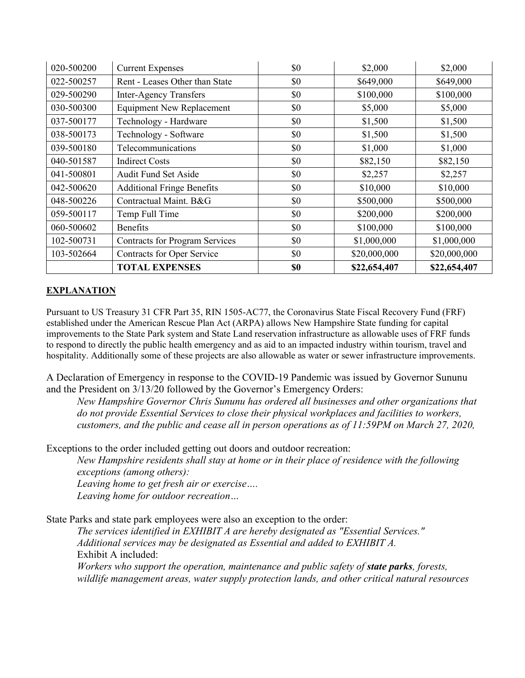| 020-500200 | <b>Current Expenses</b>               | \$0 | \$2,000      | \$2,000      |
|------------|---------------------------------------|-----|--------------|--------------|
| 022-500257 | Rent - Leases Other than State        | \$0 | \$649,000    | \$649,000    |
| 029-500290 | <b>Inter-Agency Transfers</b>         | \$0 | \$100,000    | \$100,000    |
| 030-500300 | <b>Equipment New Replacement</b>      | \$0 | \$5,000      | \$5,000      |
| 037-500177 | Technology - Hardware                 | \$0 | \$1,500      | \$1,500      |
| 038-500173 | Technology - Software                 | \$0 | \$1,500      | \$1,500      |
| 039-500180 | Telecommunications                    | \$0 | \$1,000      | \$1,000      |
| 040-501587 | Indirect Costs                        | \$0 | \$82,150     | \$82,150     |
| 041-500801 | <b>Audit Fund Set Aside</b>           | \$0 | \$2,257      | \$2,257      |
| 042-500620 | <b>Additional Fringe Benefits</b>     | \$0 | \$10,000     | \$10,000     |
| 048-500226 | Contractual Maint. B&G                | \$0 | \$500,000    | \$500,000    |
| 059-500117 | Temp Full Time                        | \$0 | \$200,000    | \$200,000    |
| 060-500602 | <b>Benefits</b>                       | \$0 | \$100,000    | \$100,000    |
| 102-500731 | <b>Contracts for Program Services</b> | \$0 | \$1,000,000  | \$1,000,000  |
| 103-502664 | Contracts for Oper Service            | \$0 | \$20,000,000 | \$20,000,000 |
|            | <b>TOTAL EXPENSES</b>                 | \$0 | \$22,654,407 | \$22,654,407 |

## **EXPLANATION**

Pursuant to US Treasury 31 CFR Part 35, RIN 1505-AC77, the Coronavirus State Fiscal Recovery Fund (FRF) established under the American Rescue Plan Act (ARPA) allows New Hampshire State funding for capital improvements to the State Park system and State Land reservation infrastructure as allowable uses of FRF funds to respond to directly the public health emergency and as aid to an impacted industry within tourism, travel and hospitality. Additionally some of these projects are also allowable as water or sewer infrastructure improvements.

A Declaration of Emergency in response to the COVID-19 Pandemic was issued by Governor Sununu and the President on 3/13/20 followed by the Governor's Emergency Orders:

*New Hampshire Governor Chris Sununu has ordered all businesses and other organizations that do not provide Essential Services to close their physical workplaces and facilities to workers, customers, and the public and cease all in person operations as of 11:59PM on March 27, 2020,*

Exceptions to the order included getting out doors and outdoor recreation:

*New Hampshire residents shall stay at home or in their place of residence with the following exceptions (among others):* 

*Leaving home to get fresh air or exercise…. Leaving home for outdoor recreation…*

State Parks and state park employees were also an exception to the order:

*The services identified in EXHIBIT A are hereby designated as "Essential Services." Additional services may be designated as Essential and added to EXHIBIT A.* Exhibit A included:

*Workers who support the operation, maintenance and public safety of state parks, forests, wildlife management areas, water supply protection lands, and other critical natural resources*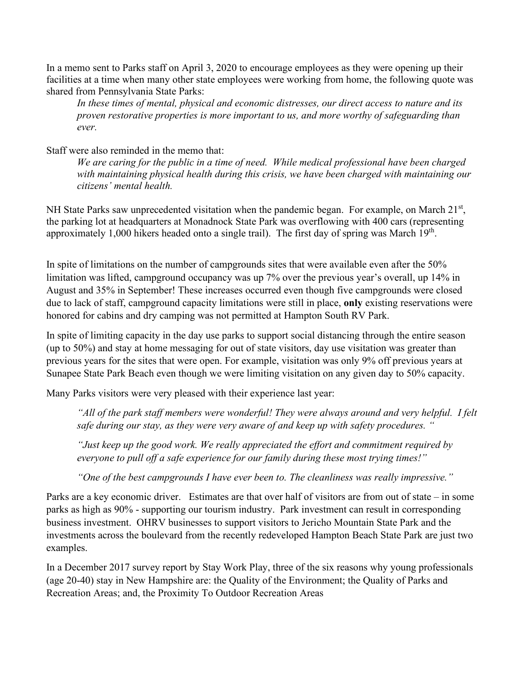In a memo sent to Parks staff on April 3, 2020 to encourage employees as they were opening up their facilities at a time when many other state employees were working from home, the following quote was shared from Pennsylvania State Parks:

*In these times of mental, physical and economic distresses, our direct access to nature and its proven restorative properties is more important to us, and more worthy of safeguarding than ever.* 

Staff were also reminded in the memo that:

*We are caring for the public in a time of need. While medical professional have been charged with maintaining physical health during this crisis, we have been charged with maintaining our citizens' mental health.*

NH State Parks saw unprecedented visitation when the pandemic began. For example, on March 21<sup>st</sup>, the parking lot at headquarters at Monadnock State Park was overflowing with 400 cars (representing approximately 1,000 hikers headed onto a single trail). The first day of spring was March 19<sup>th</sup>.

In spite of limitations on the number of campgrounds sites that were available even after the 50% limitation was lifted, campground occupancy was up 7% over the previous year's overall, up 14% in August and 35% in September! These increases occurred even though five campgrounds were closed due to lack of staff, campground capacity limitations were still in place, **only** existing reservations were honored for cabins and dry camping was not permitted at Hampton South RV Park.

In spite of limiting capacity in the day use parks to support social distancing through the entire season (up to 50%) and stay at home messaging for out of state visitors, day use visitation was greater than previous years for the sites that were open. For example, visitation was only 9% off previous years at Sunapee State Park Beach even though we were limiting visitation on any given day to 50% capacity.

Many Parks visitors were very pleased with their experience last year:

*"All of the park staff members were wonderful! They were always around and very helpful. I felt safe during our stay, as they were very aware of and keep up with safety procedures. "*

*"Just keep up the good work. We really appreciated the effort and commitment required by everyone to pull off a safe experience for our family during these most trying times!"*

*"One of the best campgrounds I have ever been to. The cleanliness was really impressive."*

Parks are a key economic driver. Estimates are that over half of visitors are from out of state – in some parks as high as 90% - supporting our tourism industry. Park investment can result in corresponding business investment. OHRV businesses to support visitors to Jericho Mountain State Park and the investments across the boulevard from the recently redeveloped Hampton Beach State Park are just two examples.

In a December 2017 survey report by Stay Work Play, three of the six reasons why young professionals (age 20-40) stay in New Hampshire are: the Quality of the Environment; the Quality of Parks and Recreation Areas; and, the Proximity To Outdoor Recreation Areas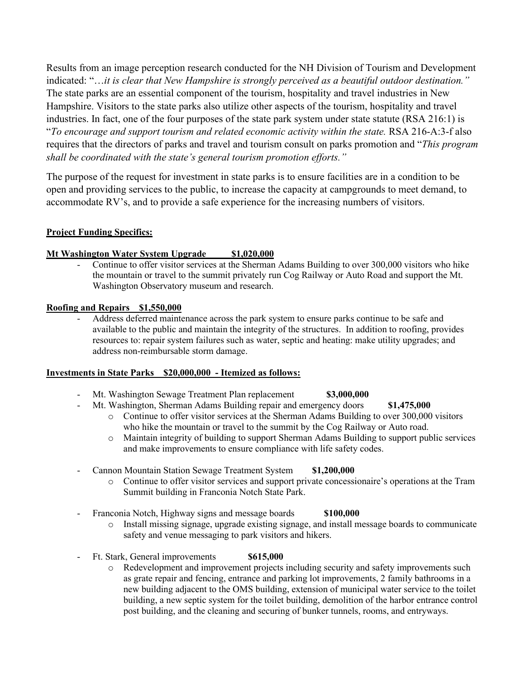Results from an image perception research conducted for the NH Division of Tourism and Development indicated: "…*it is clear that New Hampshire is strongly perceived as a beautiful outdoor destination."*  The state parks are an essential component of the tourism, hospitality and travel industries in New Hampshire. Visitors to the state parks also utilize other aspects of the tourism, hospitality and travel industries. In fact, one of the four purposes of the state park system under state statute (RSA 216:1) is "*To encourage and support tourism and related economic activity within the state.* RSA 216-A:3-f also requires that the directors of parks and travel and tourism consult on parks promotion and "*This program shall be coordinated with the state's general tourism promotion efforts."*

The purpose of the request for investment in state parks is to ensure facilities are in a condition to be open and providing services to the public, to increase the capacity at campgrounds to meet demand, to accommodate RV's, and to provide a safe experience for the increasing numbers of visitors.

## **Project Funding Specifics:**

## **Mt Washington Water System Upgrade \$1,020,000**

Continue to offer visitor services at the Sherman Adams Building to over 300,000 visitors who hike the mountain or travel to the summit privately run Cog Railway or Auto Road and support the Mt. Washington Observatory museum and research.

#### **Roofing and Repairs \$1,550,000**

- Address deferred maintenance across the park system to ensure parks continue to be safe and available to the public and maintain the integrity of the structures. In addition to roofing, provides resources to: repair system failures such as water, septic and heating: make utility upgrades; and address non-reimbursable storm damage.

#### **Investments in State Parks \$20,000,000 - Itemized as follows:**

- Mt. Washington Sewage Treatment Plan replacement **\$3,000,000**
- Mt. Washington, Sherman Adams Building repair and emergency doors **\$1,475,000** 
	- o Continue to offer visitor services at the Sherman Adams Building to over 300,000 visitors who hike the mountain or travel to the summit by the Cog Railway or Auto road.
	- o Maintain integrity of building to support Sherman Adams Building to support public services and make improvements to ensure compliance with life safety codes.
- Cannon Mountain Station Sewage Treatment System **\$1,200,000**
	- o Continue to offer visitor services and support private concessionaire's operations at the Tram Summit building in Franconia Notch State Park.
- Franconia Notch, Highway signs and message boards **\$100,000**
	- o Install missing signage, upgrade existing signage, and install message boards to communicate safety and venue messaging to park visitors and hikers.
- Ft. Stark, General improvements **\$615,000**
	- o Redevelopment and improvement projects including security and safety improvements such as grate repair and fencing, entrance and parking lot improvements, 2 family bathrooms in a new building adjacent to the OMS building, extension of municipal water service to the toilet building, a new septic system for the toilet building, demolition of the harbor entrance control post building, and the cleaning and securing of bunker tunnels, rooms, and entryways.

- - -
	-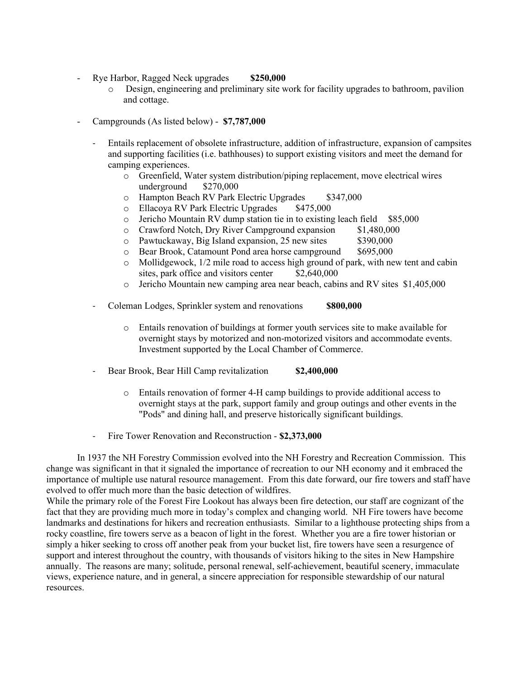- Rye Harbor, Ragged Neck upgrades **\$250,000**
	- o Design, engineering and preliminary site work for facility upgrades to bathroom, pavilion and cottage.
- Campgrounds (As listed below) **\$7,787,000**
	- Entails replacement of obsolete infrastructure, addition of infrastructure, expansion of campsites and supporting facilities (i.e. bathhouses) to support existing visitors and meet the demand for camping experiences.
		- o Greenfield, Water system distribution/piping replacement, move electrical wires underground
		- o Hampton Beach RV Park Electric Upgrades \$347,000<br>
		o Ellacoya RV Park Electric Upgrades \$475,000
		- Ellacoya RV Park Electric Upgrades
		- o Jericho Mountain RV dump station tie in to existing leach field  $$85,000$ <br>  $\circ$  Crawford Notch, Dry River Campground expansion  $$1,480,000$
		- o Crawford Notch, Dry River Campground expansion \$1,480,00<br>
		o Pawtuckaway, Big Island expansion, 25 new sites \$390,000
		-
		- o Pawtuckaway, Big Island expansion, 25 new sites \$390,000<br>
		o Bear Brook, Catamount Pond area horse campground \$695.000 o Bear Brook, Catamount Pond area horse campground  $\circ$  Mollidgewock, 1/2 mile road to access high ground of
		- Mollidgewock,  $1/2$  mile road to access high ground of park, with new tent and cabin sites, park office and visitors center  $$2,640,000$ sites, park office and visitors center
		- o Jericho Mountain new camping area near beach, cabins and RV sites \$1,405,000
	- Coleman Lodges, Sprinkler system and renovations **\$800,000**
		- o Entails renovation of buildings at former youth services site to make available for overnight stays by motorized and non-motorized visitors and accommodate events. Investment supported by the Local Chamber of Commerce.
	- Bear Brook, Bear Hill Camp revitalization **\$2,400,000** 
		- o Entails renovation of former 4-H camp buildings to provide additional access to overnight stays at the park, support family and group outings and other events in the "Pods" and dining hall, and preserve historically significant buildings.
	- Fire Tower Renovation and Reconstruction **\$2,373,000**

In 1937 the NH Forestry Commission evolved into the NH Forestry and Recreation Commission. This change was significant in that it signaled the importance of recreation to our NH economy and it embraced the importance of multiple use natural resource management. From this date forward, our fire towers and staff have evolved to offer much more than the basic detection of wildfires.

While the primary role of the Forest Fire Lookout has always been fire detection, our staff are cognizant of the fact that they are providing much more in today's complex and changing world. NH Fire towers have become landmarks and destinations for hikers and recreation enthusiasts. Similar to a lighthouse protecting ships from a rocky coastline, fire towers serve as a beacon of light in the forest. Whether you are a fire tower historian or simply a hiker seeking to cross off another peak from your bucket list, fire towers have seen a resurgence of support and interest throughout the country, with thousands of visitors hiking to the sites in New Hampshire annually. The reasons are many; solitude, personal renewal, self-achievement, beautiful scenery, immaculate views, experience nature, and in general, a sincere appreciation for responsible stewardship of our natural resources.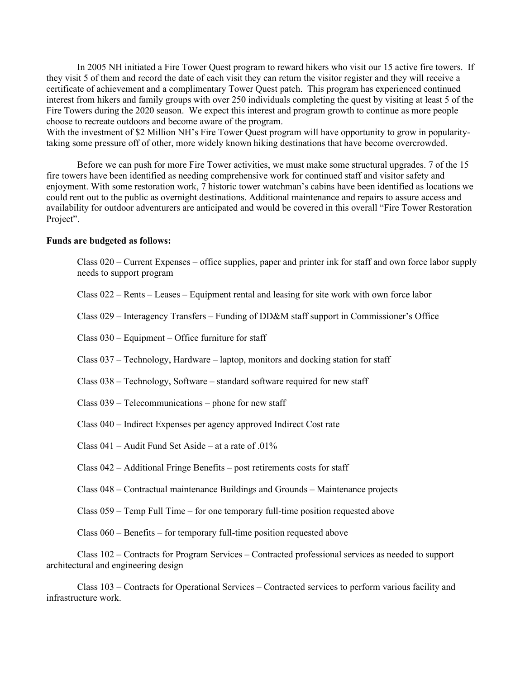In 2005 NH initiated a Fire Tower Quest program to reward hikers who visit our 15 active fire towers. If they visit 5 of them and record the date of each visit they can return the visitor register and they will receive a certificate of achievement and a complimentary Tower Quest patch. This program has experienced continued interest from hikers and family groups with over 250 individuals completing the quest by visiting at least 5 of the Fire Towers during the 2020 season. We expect this interest and program growth to continue as more people choose to recreate outdoors and become aware of the program.

With the investment of \$2 Million NH's Fire Tower Quest program will have opportunity to grow in popularitytaking some pressure off of other, more widely known hiking destinations that have become overcrowded.

Before we can push for more Fire Tower activities, we must make some structural upgrades. 7 of the 15 fire towers have been identified as needing comprehensive work for continued staff and visitor safety and enjoyment. With some restoration work, 7 historic tower watchman's cabins have been identified as locations we could rent out to the public as overnight destinations. Additional maintenance and repairs to assure access and availability for outdoor adventurers are anticipated and would be covered in this overall "Fire Tower Restoration Project".

#### **Funds are budgeted as follows:**

| $Class 020$ – Current Expenses – office supplies, paper and printer ink for staff and own force labor supply<br>needs to support program   |
|--------------------------------------------------------------------------------------------------------------------------------------------|
| Class $022$ – Rents – Leases – Equipment rental and leasing for site work with own force labor                                             |
| Class 029 – Interagency Transfers – Funding of DD&M staff support in Commissioner's Office                                                 |
| Class $030$ – Equipment – Office furniture for staff                                                                                       |
| Class 037 – Technology, Hardware – laptop, monitors and docking station for staff                                                          |
| Class 038 – Technology, Software – standard software required for new staff                                                                |
| Class $039$ – Telecommunications – phone for new staff                                                                                     |
| Class 040 - Indirect Expenses per agency approved Indirect Cost rate                                                                       |
| Class $041$ – Audit Fund Set Aside – at a rate of .01%                                                                                     |
| Class 042 – Additional Fringe Benefits – post retirements costs for staff                                                                  |
| Class 048 – Contractual maintenance Buildings and Grounds – Maintenance projects                                                           |
| Class 059 – Temp Full Time – for one temporary full-time position requested above                                                          |
| Class $060$ – Benefits – for temporary full-time position requested above                                                                  |
| Class 102 – Contracts for Program Services – Contracted professional services as needed to support<br>architectural and engineering design |

Class 103 – Contracts for Operational Services – Contracted services to perform various facility and infrastructure work.